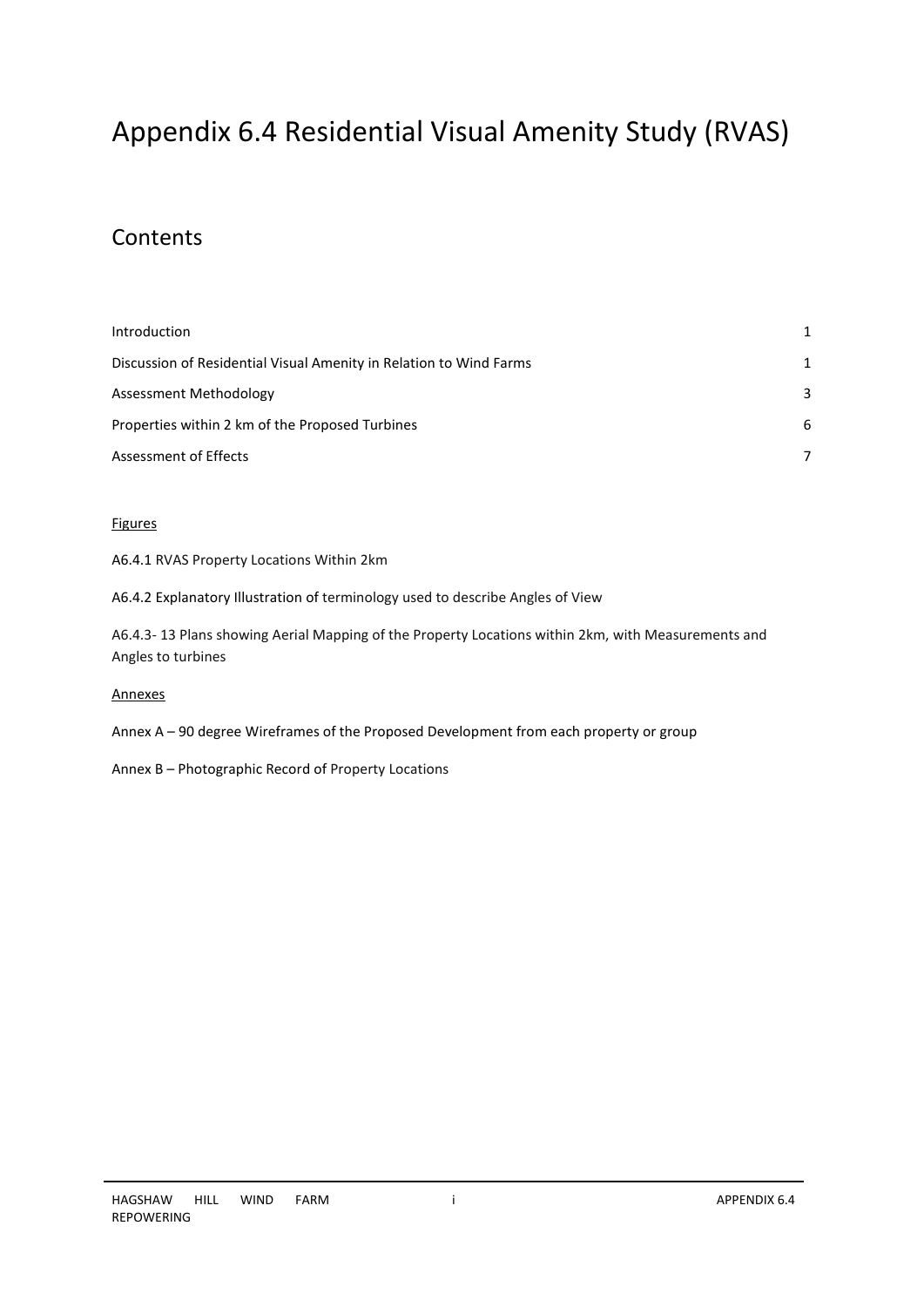# Appendix 6.4 Residential Visual Amenity Study (RVAS)

# **Contents**

| <b>Introduction</b>                                                |   |
|--------------------------------------------------------------------|---|
| Discussion of Residential Visual Amenity in Relation to Wind Farms | 1 |
| Assessment Methodology                                             | 3 |
| Properties within 2 km of the Proposed Turbines                    | 6 |
| Assessment of Effects                                              |   |

#### **Figures**

A6.4.1 RVAS Property Locations Within 2km

A6.4.2 Explanatory Illustration of terminology used to describe Angles of View

A6.4.3- 13 Plans showing Aerial Mapping of the Property Locations within 2km, with Measurements and Angles to turbines

#### Annexes

Annex A – 90 degree Wireframes of the Proposed Development from each property or group

Annex B – Photographic Record of Property Locations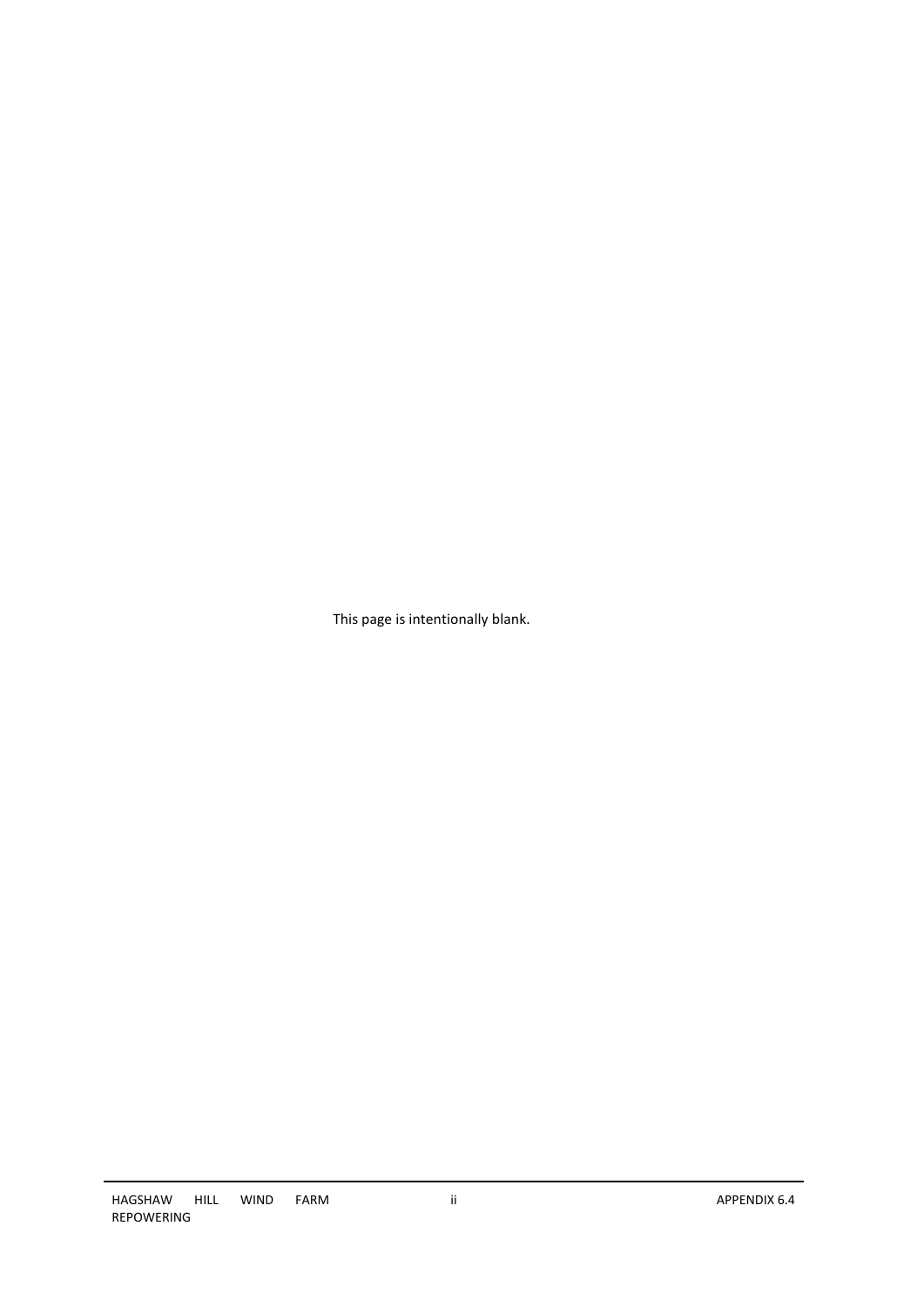This page is intentionally blank.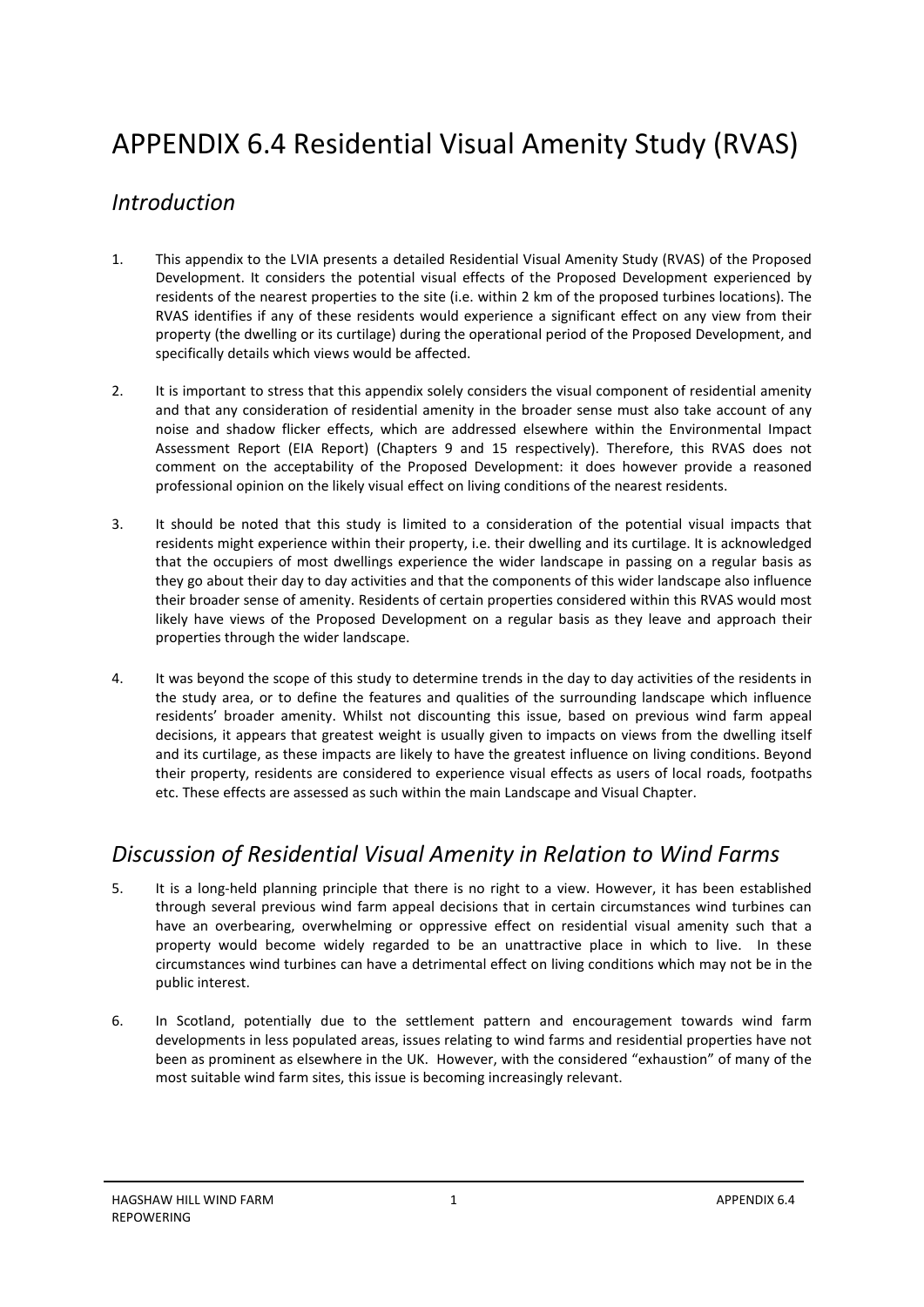# APPENDIX 6.4 Residential Visual Amenity Study (RVAS)

# <span id="page-2-0"></span>*Introduction*

- 1. This appendix to the LVIA presents a detailed Residential Visual Amenity Study (RVAS) of the Proposed Development. It considers the potential visual effects of the Proposed Development experienced by residents of the nearest properties to the site (i.e. within 2 km of the proposed turbines locations). The RVAS identifies if any of these residents would experience a significant effect on any view from their property (the dwelling or its curtilage) during the operational period of the Proposed Development, and specifically details which views would be affected.
- 2. It is important to stress that this appendix solely considers the visual component of residential amenity and that any consideration of residential amenity in the broader sense must also take account of any noise and shadow flicker effects, which are addressed elsewhere within the Environmental Impact Assessment Report (EIA Report) (Chapters 9 and 15 respectively). Therefore, this RVAS does not comment on the acceptability of the Proposed Development: it does however provide a reasoned professional opinion on the likely visual effect on living conditions of the nearest residents.
- 3. It should be noted that this study is limited to a consideration of the potential visual impacts that residents might experience within their property, i.e. their dwelling and its curtilage. It is acknowledged that the occupiers of most dwellings experience the wider landscape in passing on a regular basis as they go about their day to day activities and that the components of this wider landscape also influence their broader sense of amenity. Residents of certain properties considered within this RVAS would most likely have views of the Proposed Development on a regular basis as they leave and approach their properties through the wider landscape.
- 4. It was beyond the scope of this study to determine trends in the day to day activities of the residents in the study area, or to define the features and qualities of the surrounding landscape which influence residents' broader amenity. Whilst not discounting this issue, based on previous wind farm appeal decisions, it appears that greatest weight is usually given to impacts on views from the dwelling itself and its curtilage, as these impacts are likely to have the greatest influence on living conditions. Beyond their property, residents are considered to experience visual effects as users of local roads, footpaths etc. These effects are assessed as such within the main Landscape and Visual Chapter.

# <span id="page-2-1"></span>*Discussion of Residential Visual Amenity in Relation to Wind Farms*

- 5. It is a long-held planning principle that there is no right to a view. However, it has been established through several previous wind farm appeal decisions that in certain circumstances wind turbines can have an overbearing, overwhelming or oppressive effect on residential visual amenity such that a property would become widely regarded to be an unattractive place in which to live. In these circumstances wind turbines can have a detrimental effect on living conditions which may not be in the public interest.
- 6. In Scotland, potentially due to the settlement pattern and encouragement towards wind farm developments in less populated areas, issues relating to wind farms and residential properties have not been as prominent as elsewhere in the UK. However, with the considered "exhaustion" of many of the most suitable wind farm sites, this issue is becoming increasingly relevant.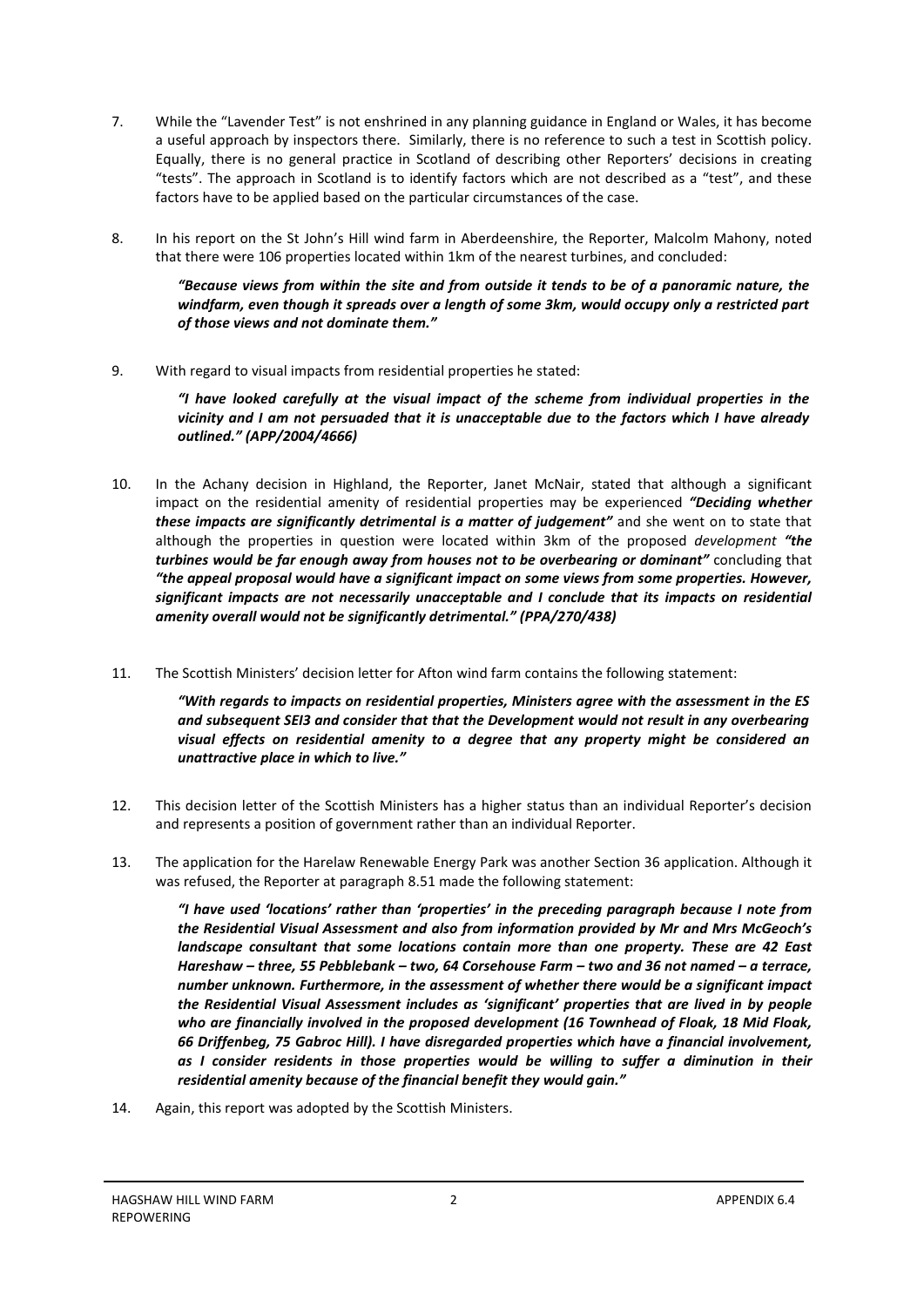- 7. While the "Lavender Test" is not enshrined in any planning guidance in England or Wales, it has become a useful approach by inspectors there. Similarly, there is no reference to such a test in Scottish policy. Equally, there is no general practice in Scotland of describing other Reporters' decisions in creating "tests". The approach in Scotland is to identify factors which are not described as a "test", and these factors have to be applied based on the particular circumstances of the case.
- 8. In his report on the St John's Hill wind farm in Aberdeenshire, the Reporter, Malcolm Mahony, noted that there were 106 properties located within 1km of the nearest turbines, and concluded:

*"Because views from within the site and from outside it tends to be of a panoramic nature, the windfarm, even though it spreads over a length of some 3km, would occupy only a restricted part of those views and not dominate them."*

9. With regard to visual impacts from residential properties he stated:

*"I have looked carefully at the visual impact of the scheme from individual properties in the vicinity and I am not persuaded that it is unacceptable due to the factors which I have already outlined." (APP/2004/4666)*

- 10. In the Achany decision in Highland, the Reporter, Janet McNair, stated that although a significant impact on the residential amenity of residential properties may be experienced *"Deciding whether these impacts are significantly detrimental is a matter of judgement"* and she went on to state that although the properties in question were located within 3km of the proposed *development "the turbines would be far enough away from houses not to be overbearing or dominant"* concluding that *"the appeal proposal would have a significant impact on some views from some properties. However, significant impacts are not necessarily unacceptable and I conclude that its impacts on residential amenity overall would not be significantly detrimental." (PPA/270/438)*
- 11. The Scottish Ministers' decision letter for Afton wind farm contains the following statement:

*"With regards to impacts on residential properties, Ministers agree with the assessment in the ES and subsequent SEI3 and consider that that the Development would not result in any overbearing visual effects on residential amenity to a degree that any property might be considered an unattractive place in which to live."* 

- 12. This decision letter of the Scottish Ministers has a higher status than an individual Reporter's decision and represents a position of government rather than an individual Reporter.
- 13. The application for the Harelaw Renewable Energy Park was another Section 36 application. Although it was refused, the Reporter at paragraph 8.51 made the following statement:

*"I have used 'locations' rather than 'properties' in the preceding paragraph because I note from the Residential Visual Assessment and also from information provided by Mr and Mrs McGeoch's landscape consultant that some locations contain more than one property. These are 42 East Hareshaw – three, 55 Pebblebank – two, 64 Corsehouse Farm – two and 36 not named – a terrace, number unknown. Furthermore, in the assessment of whether there would be a significant impact the Residential Visual Assessment includes as 'significant' properties that are lived in by people who are financially involved in the proposed development (16 Townhead of Floak, 18 Mid Floak, 66 Driffenbeg, 75 Gabroc Hill). I have disregarded properties which have a financial involvement, as I consider residents in those properties would be willing to suffer a diminution in their residential amenity because of the financial benefit they would gain."*

14. Again, this report was adopted by the Scottish Ministers.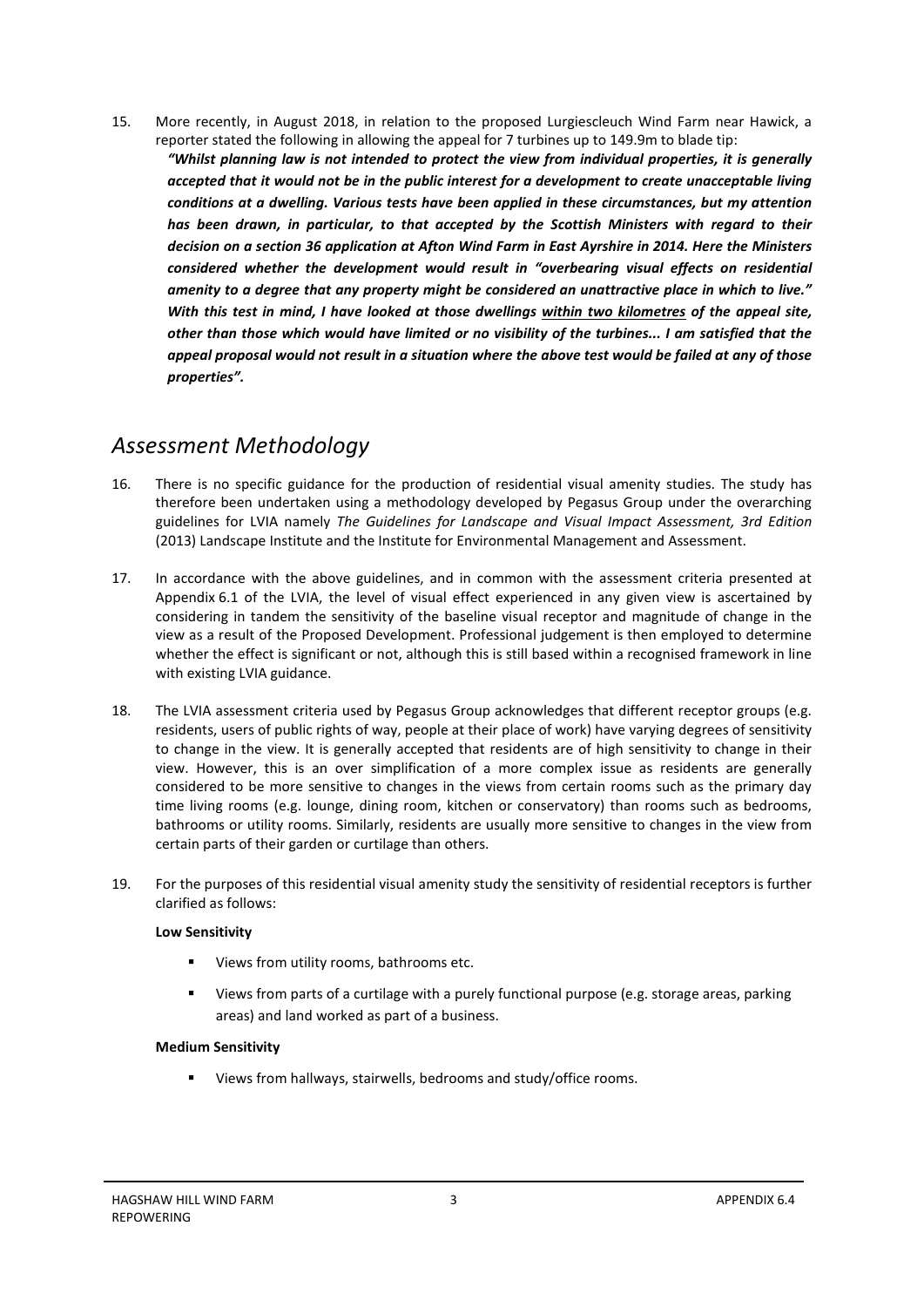15. More recently, in August 2018, in relation to the proposed Lurgiescleuch Wind Farm near Hawick, a reporter stated the following in allowing the appeal for 7 turbines up to 149.9m to blade tip:

*"Whilst planning law is not intended to protect the view from individual properties, it is generally accepted that it would not be in the public interest for a development to create unacceptable living conditions at a dwelling. Various tests have been applied in these circumstances, but my attention has been drawn, in particular, to that accepted by the Scottish Ministers with regard to their decision on a section 36 application at Afton Wind Farm in East Ayrshire in 2014. Here the Ministers considered whether the development would result in "overbearing visual effects on residential amenity to a degree that any property might be considered an unattractive place in which to live." With this test in mind, I have looked at those dwellings within two kilometres of the appeal site, other than those which would have limited or no visibility of the turbines... I am satisfied that the appeal proposal would not result in a situation where the above test would be failed at any of those properties".*

# <span id="page-4-0"></span>*Assessment Methodology*

- 16. There is no specific guidance for the production of residential visual amenity studies. The study has therefore been undertaken using a methodology developed by Pegasus Group under the overarching guidelines for LVIA namely *The Guidelines for Landscape and Visual Impact Assessment, 3rd Edition* (2013) Landscape Institute and the Institute for Environmental Management and Assessment.
- 17. In accordance with the above guidelines, and in common with the assessment criteria presented at Appendix 6.1 of the LVIA, the level of visual effect experienced in any given view is ascertained by considering in tandem the sensitivity of the baseline visual receptor and magnitude of change in the view as a result of the Proposed Development. Professional judgement is then employed to determine whether the effect is significant or not, although this is still based within a recognised framework in line with existing LVIA guidance.
- 18. The LVIA assessment criteria used by Pegasus Group acknowledges that different receptor groups (e.g. residents, users of public rights of way, people at their place of work) have varying degrees of sensitivity to change in the view. It is generally accepted that residents are of high sensitivity to change in their view. However, this is an over simplification of a more complex issue as residents are generally considered to be more sensitive to changes in the views from certain rooms such as the primary day time living rooms (e.g. lounge, dining room, kitchen or conservatory) than rooms such as bedrooms, bathrooms or utility rooms. Similarly, residents are usually more sensitive to changes in the view from certain parts of their garden or curtilage than others.
- 19. For the purposes of this residential visual amenity study the sensitivity of residential receptors is further clarified as follows:

### **Low Sensitivity**

- **U** Views from utility rooms, bathrooms etc.
- Views from parts of a curtilage with a purely functional purpose (e.g. storage areas, parking areas) and land worked as part of a business.

### **Medium Sensitivity**

Views from hallways, stairwells, bedrooms and study/office rooms.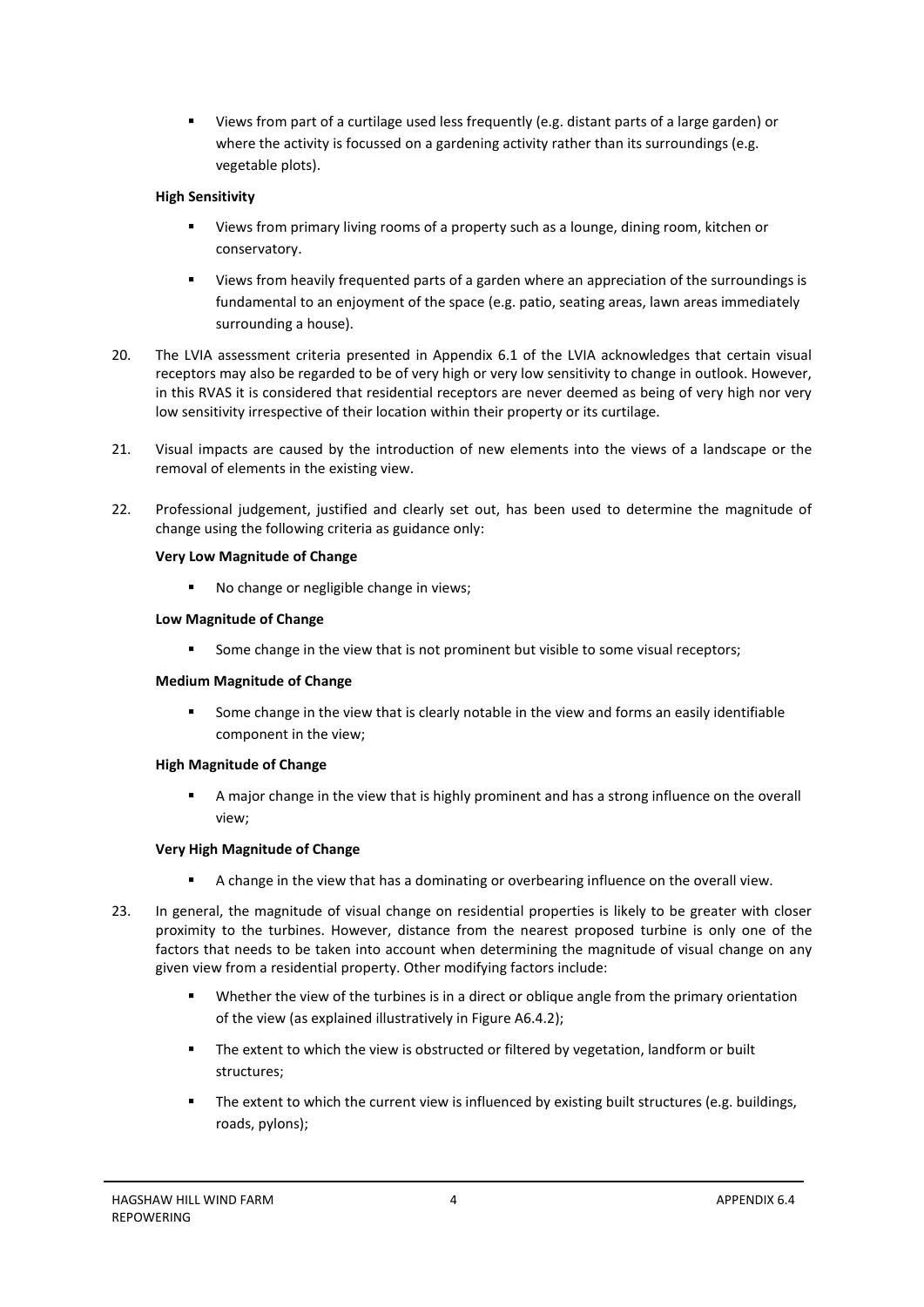Views from part of a curtilage used less frequently (e.g. distant parts of a large garden) or where the activity is focussed on a gardening activity rather than its surroundings (e.g. vegetable plots).

## **High Sensitivity**

- Views from primary living rooms of a property such as a lounge, dining room, kitchen or conservatory.
- Views from heavily frequented parts of a garden where an appreciation of the surroundings is fundamental to an enjoyment of the space (e.g. patio, seating areas, lawn areas immediately surrounding a house).
- 20. The LVIA assessment criteria presented in Appendix 6.1 of the LVIA acknowledges that certain visual receptors may also be regarded to be of very high or very low sensitivity to change in outlook. However, in this RVAS it is considered that residential receptors are never deemed as being of very high nor very low sensitivity irrespective of their location within their property or its curtilage.
- 21. Visual impacts are caused by the introduction of new elements into the views of a landscape or the removal of elements in the existing view.
- 22. Professional judgement, justified and clearly set out, has been used to determine the magnitude of change using the following criteria as guidance only:

### **Very Low Magnitude of Change**

No change or negligible change in views:

### **Low Magnitude of Change**

**Some change in the view that is not prominent but visible to some visual receptors;** 

#### **Medium Magnitude of Change**

**Some change in the view that is clearly notable in the view and forms an easily identifiable** component in the view;

#### **High Magnitude of Change**

 A major change in the view that is highly prominent and has a strong influence on the overall view;

### **Very High Magnitude of Change**

- A change in the view that has a dominating or overbearing influence on the overall view.
- 23. In general, the magnitude of visual change on residential properties is likely to be greater with closer proximity to the turbines. However, distance from the nearest proposed turbine is only one of the factors that needs to be taken into account when determining the magnitude of visual change on any given view from a residential property. Other modifying factors include:
	- Whether the view of the turbines is in a direct or oblique angle from the primary orientation of the view (as explained illustratively in Figure A6.4.2);
	- The extent to which the view is obstructed or filtered by vegetation, landform or built structures;
	- The extent to which the current view is influenced by existing built structures (e.g. buildings, roads, pylons);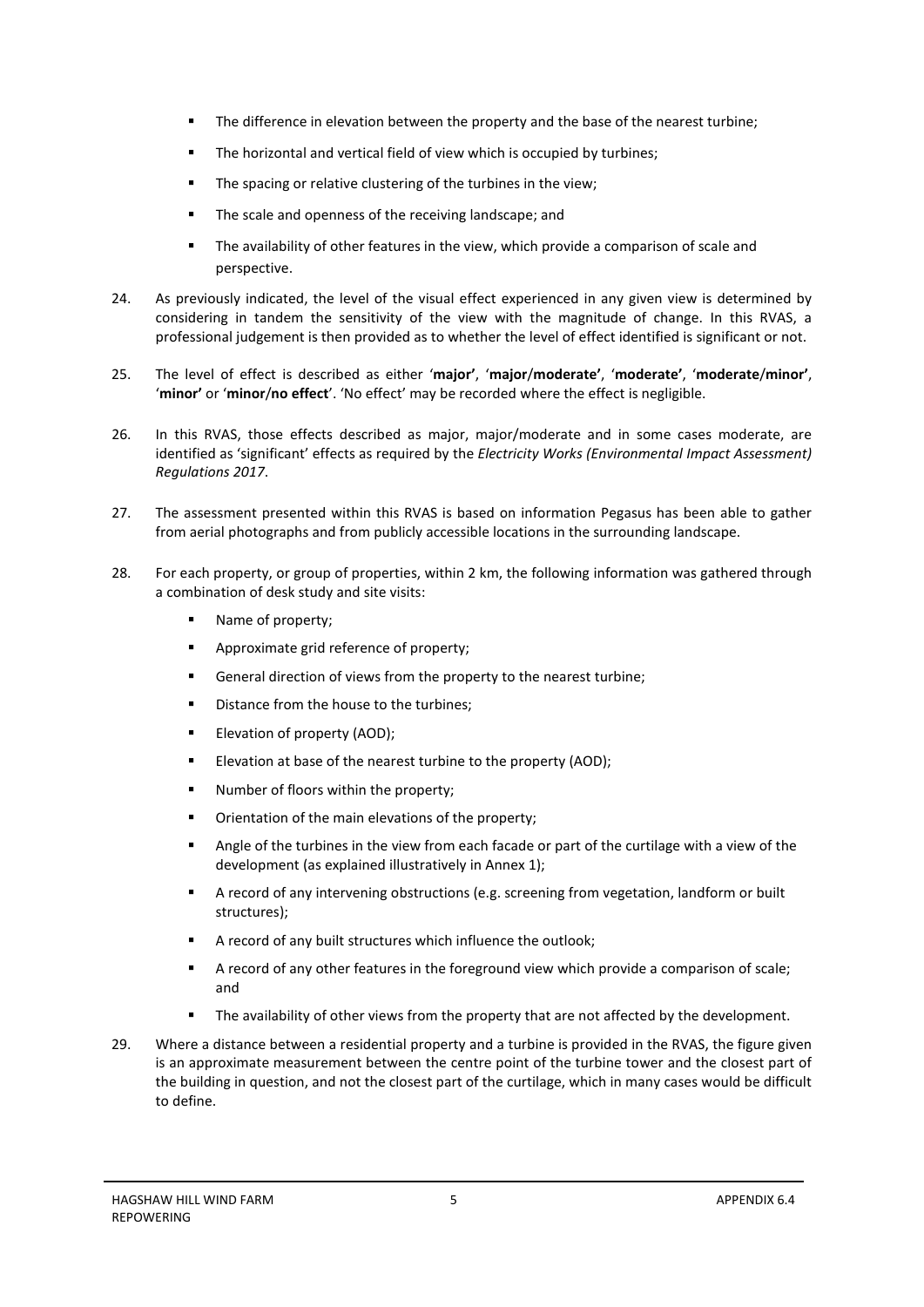- **The difference in elevation between the property and the base of the nearest turbine;**
- The horizontal and vertical field of view which is occupied by turbines;
- The spacing or relative clustering of the turbines in the view:
- The scale and openness of the receiving landscape; and
- **The availability of other features in the view, which provide a comparison of scale and** perspective.
- 24. As previously indicated, the level of the visual effect experienced in any given view is determined by considering in tandem the sensitivity of the view with the magnitude of change. In this RVAS, a professional judgement is then provided as to whether the level of effect identified is significant or not.
- 25. The level of effect is described as either '**major'**, '**major**/**moderate'**, '**moderate'**, '**moderate**/**minor'**, '**minor'** or '**minor**/**no effect**'. 'No effect' may be recorded where the effect is negligible.
- 26. In this RVAS, those effects described as major, major/moderate and in some cases moderate, are identified as 'significant' effects as required by the *Electricity Works (Environmental Impact Assessment) Regulations 2017*.
- 27. The assessment presented within this RVAS is based on information Pegasus has been able to gather from aerial photographs and from publicly accessible locations in the surrounding landscape.
- 28. For each property, or group of properties, within 2 km, the following information was gathered through a combination of desk study and site visits:
	- Name of property;
	- Approximate grid reference of property;
	- General direction of views from the property to the nearest turbine;
	- **•** Distance from the house to the turbines;
	- Elevation of property (AOD);
	- **Elevation at base of the nearest turbine to the property (AOD);**
	- Number of floors within the property;
	- **•** Orientation of the main elevations of the property;
	- Angle of the turbines in the view from each facade or part of the curtilage with a view of the development (as explained illustratively in Annex 1);
	- A record of any intervening obstructions (e.g. screening from vegetation, landform or built structures);
	- A record of any built structures which influence the outlook;
	- A record of any other features in the foreground view which provide a comparison of scale; and
	- The availability of other views from the property that are not affected by the development.
- 29. Where a distance between a residential property and a turbine is provided in the RVAS, the figure given is an approximate measurement between the centre point of the turbine tower and the closest part of the building in question, and not the closest part of the curtilage, which in many cases would be difficult to define.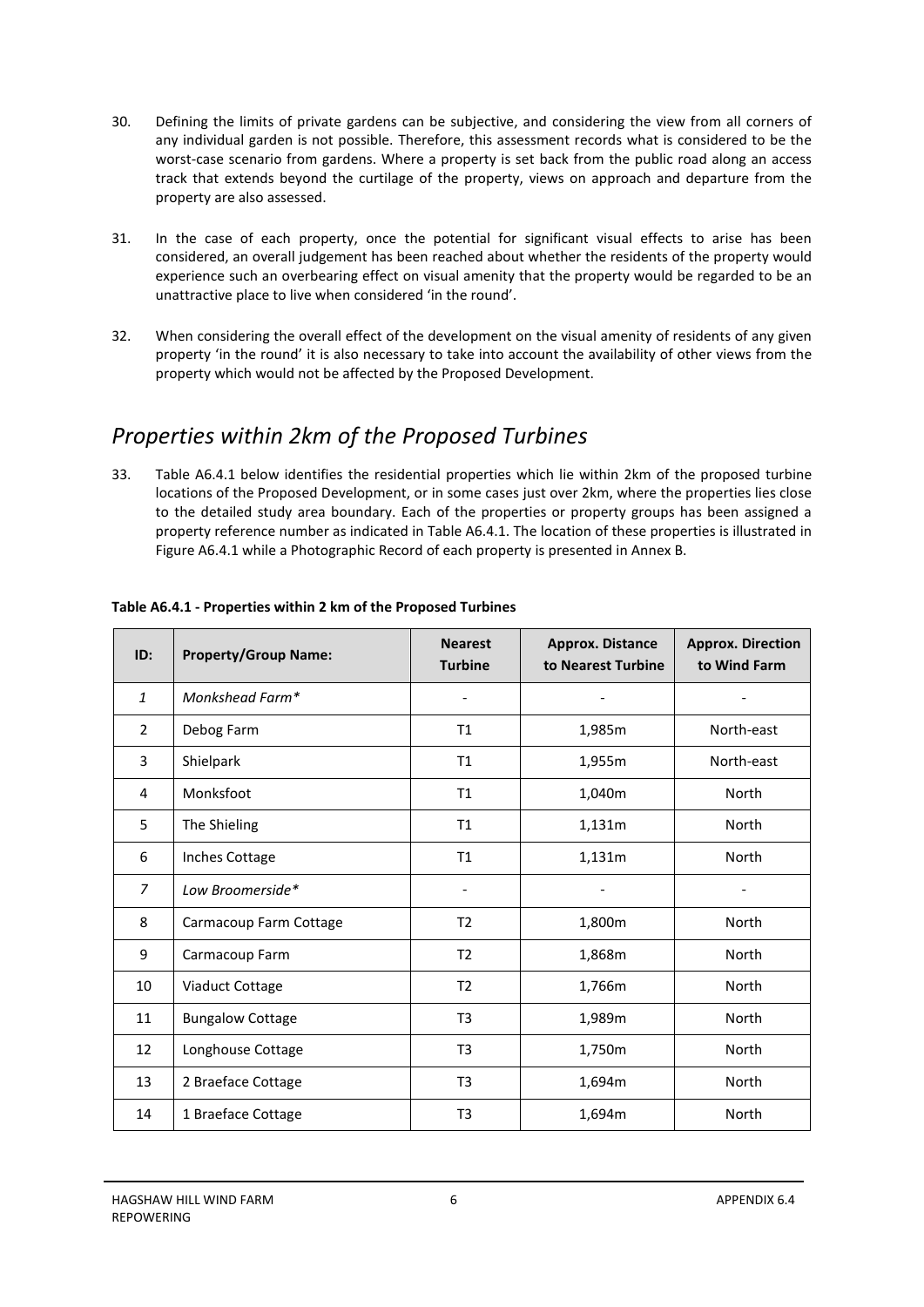- 30. Defining the limits of private gardens can be subjective, and considering the view from all corners of any individual garden is not possible. Therefore, this assessment records what is considered to be the worst-case scenario from gardens. Where a property is set back from the public road along an access track that extends beyond the curtilage of the property, views on approach and departure from the property are also assessed.
- 31. In the case of each property, once the potential for significant visual effects to arise has been considered, an overall judgement has been reached about whether the residents of the property would experience such an overbearing effect on visual amenity that the property would be regarded to be an unattractive place to live when considered 'in the round'.
- 32. When considering the overall effect of the development on the visual amenity of residents of any given property 'in the round' it is also necessary to take into account the availability of other views from the property which would not be affected by the Proposed Development.

# <span id="page-7-0"></span>*Properties within 2km of the Proposed Turbines*

33. Table A6.4.1 below identifies the residential properties which lie within 2km of the proposed turbine locations of the Proposed Development, or in some cases just over 2km, where the properties lies close to the detailed study area boundary. Each of the properties or property groups has been assigned a property reference number as indicated in Table A6.4.1. The location of these properties is illustrated in Figure A6.4.1 while a Photographic Record of each property is presented in Annex B.

| ID:            | <b>Property/Group Name:</b> | <b>Nearest</b><br><b>Turbine</b> | <b>Approx. Distance</b><br>to Nearest Turbine | <b>Approx. Direction</b><br>to Wind Farm |
|----------------|-----------------------------|----------------------------------|-----------------------------------------------|------------------------------------------|
| 1              | Monkshead Farm*             |                                  |                                               |                                          |
| $\overline{2}$ | Debog Farm                  | T1                               | 1,985m                                        | North-east                               |
| 3              | Shielpark                   | T1                               | 1,955m                                        | North-east                               |
| 4              | Monksfoot                   | T1                               | 1,040m                                        | North                                    |
| 5              | The Shieling                | T1                               | 1,131m                                        | <b>North</b>                             |
| 6              | Inches Cottage              | T1                               | 1,131m                                        | North                                    |
| $\overline{z}$ | Low Broomerside*            |                                  |                                               |                                          |
| 8              | Carmacoup Farm Cottage      | T <sub>2</sub>                   | 1,800m                                        | North                                    |
| 9              | Carmacoup Farm              | T <sub>2</sub>                   | 1,868m                                        | North                                    |
| 10             | Viaduct Cottage             | T <sub>2</sub>                   | 1,766m                                        | North                                    |
| 11             | <b>Bungalow Cottage</b>     | T <sub>3</sub>                   | 1,989m                                        | North                                    |
| 12             | Longhouse Cottage           | T <sub>3</sub>                   | 1,750m                                        | <b>North</b>                             |
| 13             | 2 Braeface Cottage          | T <sub>3</sub>                   | 1,694m                                        | North                                    |
| 14             | 1 Braeface Cottage          | T3                               | 1,694m                                        | <b>North</b>                             |

# **Table A6.4.1 - Properties within 2 km of the Proposed Turbines**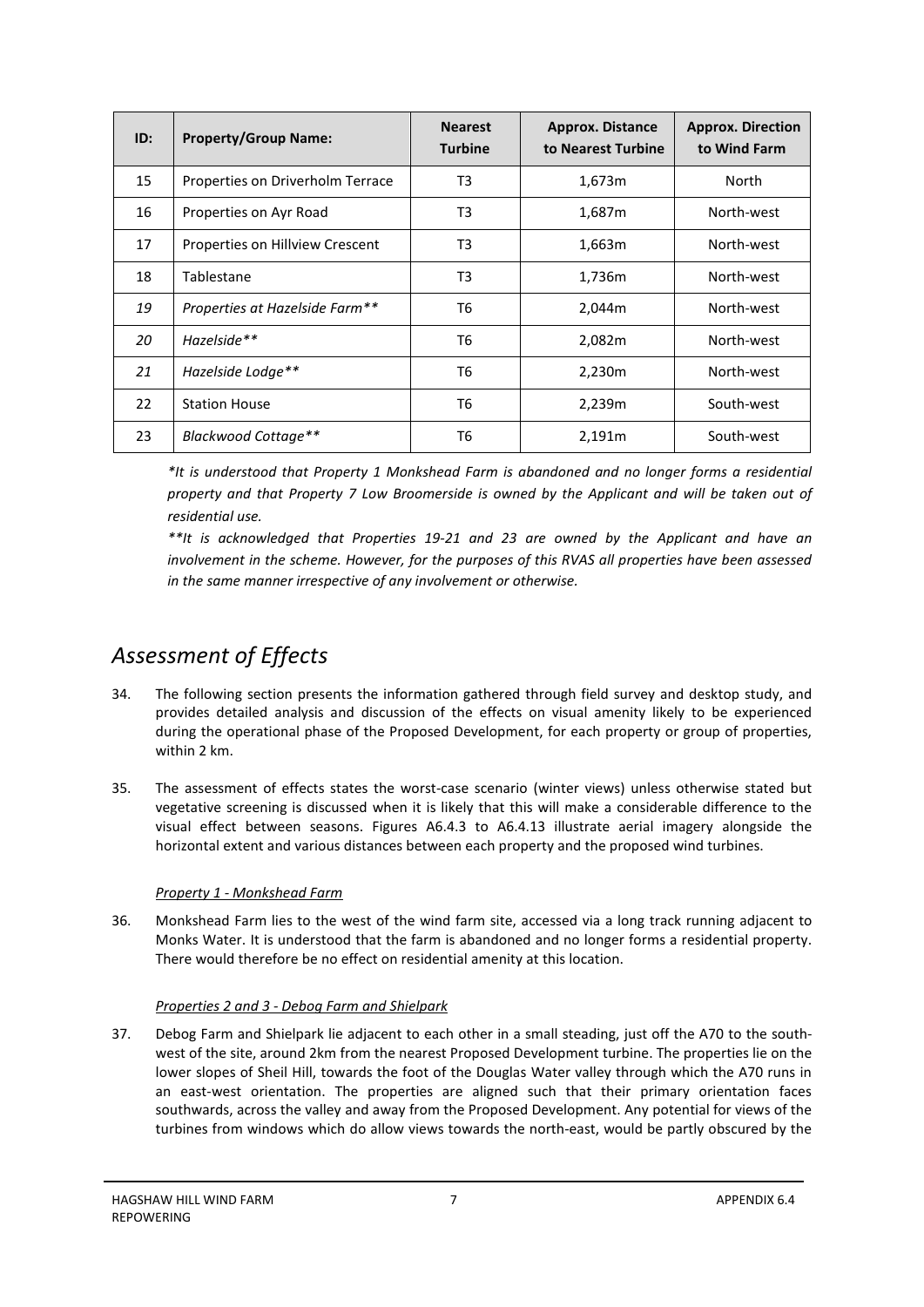| ID: | <b>Property/Group Name:</b>      | <b>Nearest</b><br><b>Turbine</b> | <b>Approx. Distance</b><br>to Nearest Turbine | <b>Approx. Direction</b><br>to Wind Farm |
|-----|----------------------------------|----------------------------------|-----------------------------------------------|------------------------------------------|
| 15  | Properties on Driverholm Terrace | T <sub>3</sub>                   | 1,673m                                        | <b>North</b>                             |
| 16  | Properties on Ayr Road           | T <sub>3</sub>                   | 1,687m                                        | North-west                               |
| 17  | Properties on Hillview Crescent  | T3                               | 1,663m                                        | North-west                               |
| 18  | Tablestane                       | T <sub>3</sub>                   | 1,736m                                        | North-west                               |
| 19  | Properties at Hazelside Farm**   | T6                               | 2,044m                                        | North-west                               |
| 20  | Hazelside**                      | T <sub>6</sub>                   | 2,082m                                        | North-west                               |
| 21  | Hazelside Lodge**                | T <sub>6</sub>                   | 2,230m                                        | North-west                               |
| 22  | <b>Station House</b>             | T6                               | 2,239m                                        | South-west                               |
| 23  | Blackwood Cottage**              | T6                               | 2,191m                                        | South-west                               |

*\*It is understood that Property 1 Monkshead Farm is abandoned and no longer forms a residential property and that Property 7 Low Broomerside is owned by the Applicant and will be taken out of residential use.*

*\*\*It is acknowledged that Properties 19-21 and 23 are owned by the Applicant and have an involvement in the scheme. However, for the purposes of this RVAS all properties have been assessed in the same manner irrespective of any involvement or otherwise.*

# <span id="page-8-0"></span>*Assessment of Effects*

- 34. The following section presents the information gathered through field survey and desktop study, and provides detailed analysis and discussion of the effects on visual amenity likely to be experienced during the operational phase of the Proposed Development, for each property or group of properties, within 2 km.
- 35. The assessment of effects states the worst-case scenario (winter views) unless otherwise stated but vegetative screening is discussed when it is likely that this will make a considerable difference to the visual effect between seasons. Figures A6.4.3 to A6.4.13 illustrate aerial imagery alongside the horizontal extent and various distances between each property and the proposed wind turbines.

# *Property 1 - Monkshead Farm*

36. Monkshead Farm lies to the west of the wind farm site, accessed via a long track running adjacent to Monks Water. It is understood that the farm is abandoned and no longer forms a residential property. There would therefore be no effect on residential amenity at this location.

# *Properties 2 and 3 - Debog Farm and Shielpark*

37. Debog Farm and Shielpark lie adjacent to each other in a small steading, just off the A70 to the southwest of the site, around 2km from the nearest Proposed Development turbine. The properties lie on the lower slopes of Sheil Hill, towards the foot of the Douglas Water valley through which the A70 runs in an east-west orientation. The properties are aligned such that their primary orientation faces southwards, across the valley and away from the Proposed Development. Any potential for views of the turbines from windows which do allow views towards the north-east, would be partly obscured by the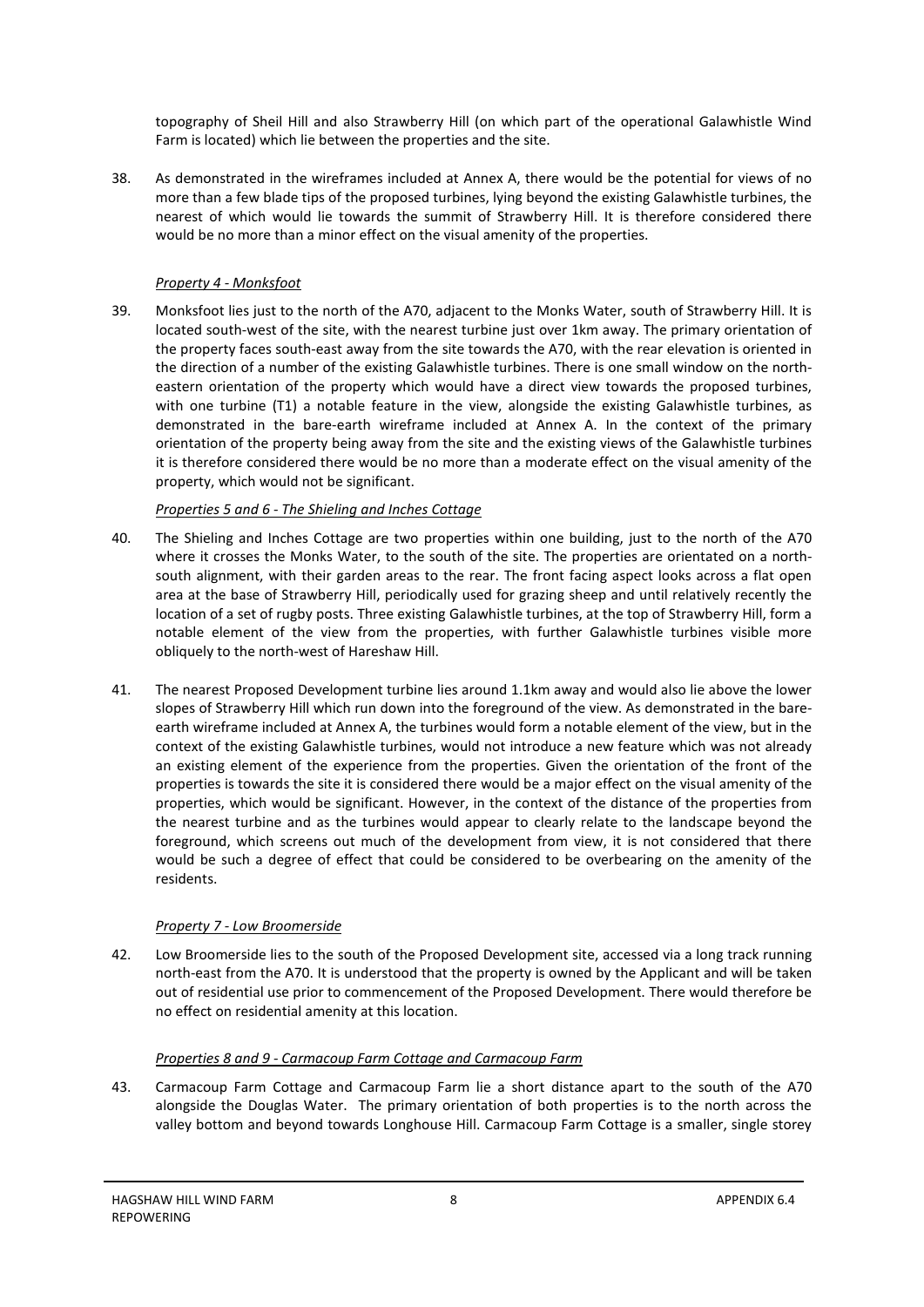topography of Sheil Hill and also Strawberry Hill (on which part of the operational Galawhistle Wind Farm is located) which lie between the properties and the site.

38. As demonstrated in the wireframes included at Annex A, there would be the potential for views of no more than a few blade tips of the proposed turbines, lying beyond the existing Galawhistle turbines, the nearest of which would lie towards the summit of Strawberry Hill. It is therefore considered there would be no more than a minor effect on the visual amenity of the properties.

## *Property 4 - Monksfoot*

39. Monksfoot lies just to the north of the A70, adjacent to the Monks Water, south of Strawberry Hill. It is located south-west of the site, with the nearest turbine just over 1km away. The primary orientation of the property faces south-east away from the site towards the A70, with the rear elevation is oriented in the direction of a number of the existing Galawhistle turbines. There is one small window on the northeastern orientation of the property which would have a direct view towards the proposed turbines, with one turbine (T1) a notable feature in the view, alongside the existing Galawhistle turbines, as demonstrated in the bare-earth wireframe included at Annex A. In the context of the primary orientation of the property being away from the site and the existing views of the Galawhistle turbines it is therefore considered there would be no more than a moderate effect on the visual amenity of the property, which would not be significant.

## *Properties 5 and 6 - The Shieling and Inches Cottage*

- 40. The Shieling and Inches Cottage are two properties within one building, just to the north of the A70 where it crosses the Monks Water, to the south of the site. The properties are orientated on a northsouth alignment, with their garden areas to the rear. The front facing aspect looks across a flat open area at the base of Strawberry Hill, periodically used for grazing sheep and until relatively recently the location of a set of rugby posts. Three existing Galawhistle turbines, at the top of Strawberry Hill, form a notable element of the view from the properties, with further Galawhistle turbines visible more obliquely to the north-west of Hareshaw Hill.
- 41. The nearest Proposed Development turbine lies around 1.1km away and would also lie above the lower slopes of Strawberry Hill which run down into the foreground of the view. As demonstrated in the bareearth wireframe included at Annex A, the turbines would form a notable element of the view, but in the context of the existing Galawhistle turbines, would not introduce a new feature which was not already an existing element of the experience from the properties. Given the orientation of the front of the properties is towards the site it is considered there would be a major effect on the visual amenity of the properties, which would be significant. However, in the context of the distance of the properties from the nearest turbine and as the turbines would appear to clearly relate to the landscape beyond the foreground, which screens out much of the development from view, it is not considered that there would be such a degree of effect that could be considered to be overbearing on the amenity of the residents.

### *Property 7 - Low Broomerside*

42. Low Broomerside lies to the south of the Proposed Development site, accessed via a long track running north-east from the A70. It is understood that the property is owned by the Applicant and will be taken out of residential use prior to commencement of the Proposed Development. There would therefore be no effect on residential amenity at this location.

# *Properties 8 and 9 - Carmacoup Farm Cottage and Carmacoup Farm*

43. Carmacoup Farm Cottage and Carmacoup Farm lie a short distance apart to the south of the A70 alongside the Douglas Water. The primary orientation of both properties is to the north across the valley bottom and beyond towards Longhouse Hill. Carmacoup Farm Cottage is a smaller, single storey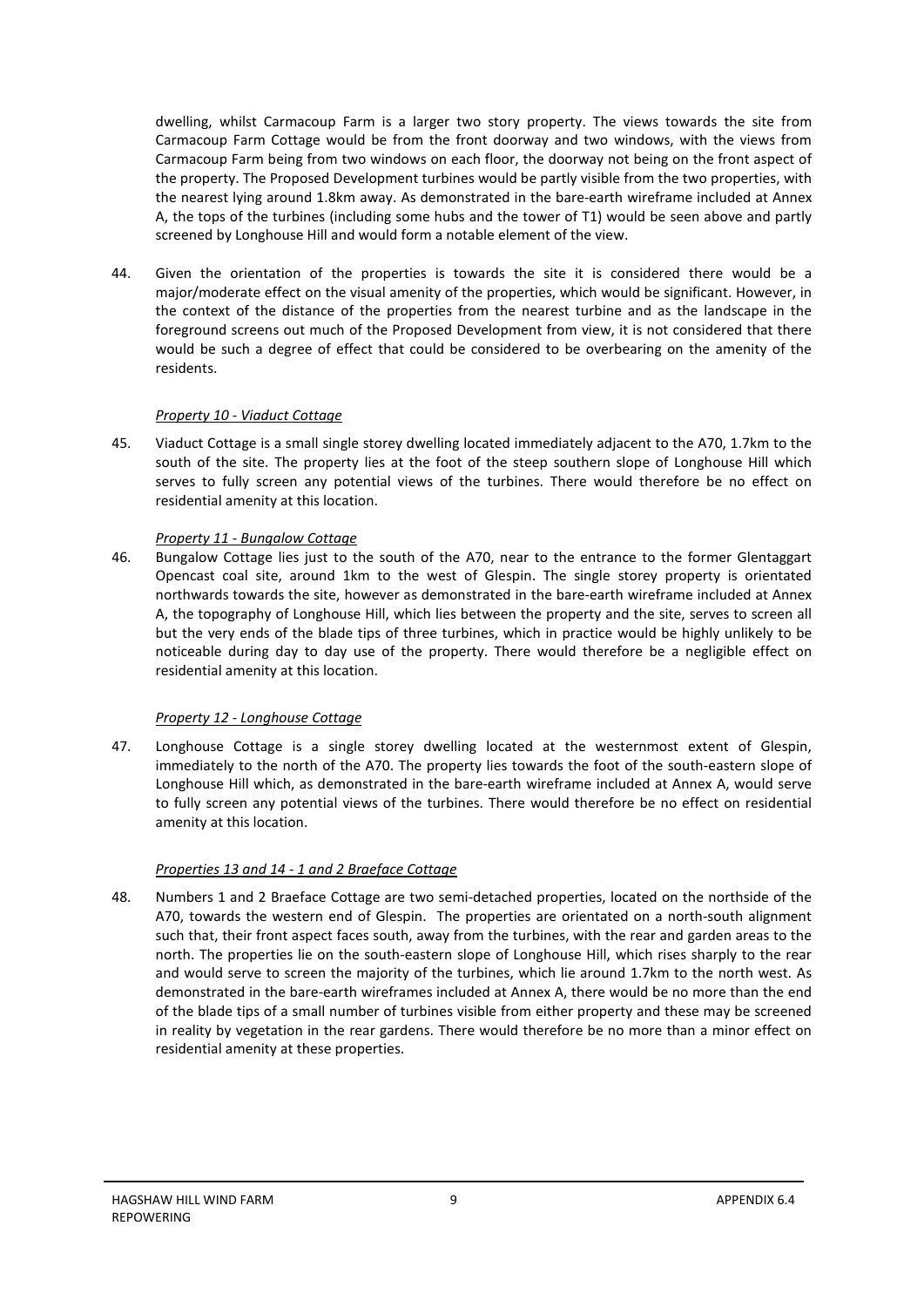dwelling, whilst Carmacoup Farm is a larger two story property. The views towards the site from Carmacoup Farm Cottage would be from the front doorway and two windows, with the views from Carmacoup Farm being from two windows on each floor, the doorway not being on the front aspect of the property. The Proposed Development turbines would be partly visible from the two properties, with the nearest lying around 1.8km away. As demonstrated in the bare-earth wireframe included at Annex A, the tops of the turbines (including some hubs and the tower of T1) would be seen above and partly screened by Longhouse Hill and would form a notable element of the view.

44. Given the orientation of the properties is towards the site it is considered there would be a major/moderate effect on the visual amenity of the properties, which would be significant. However, in the context of the distance of the properties from the nearest turbine and as the landscape in the foreground screens out much of the Proposed Development from view, it is not considered that there would be such a degree of effect that could be considered to be overbearing on the amenity of the residents.

### *Property 10 - Viaduct Cottage*

45. Viaduct Cottage is a small single storey dwelling located immediately adjacent to the A70, 1.7km to the south of the site. The property lies at the foot of the steep southern slope of Longhouse Hill which serves to fully screen any potential views of the turbines. There would therefore be no effect on residential amenity at this location.

## *Property 11 - Bungalow Cottage*

46. Bungalow Cottage lies just to the south of the A70, near to the entrance to the former Glentaggart Opencast coal site, around 1km to the west of Glespin. The single storey property is orientated northwards towards the site, however as demonstrated in the bare-earth wireframe included at Annex A, the topography of Longhouse Hill, which lies between the property and the site, serves to screen all but the very ends of the blade tips of three turbines, which in practice would be highly unlikely to be noticeable during day to day use of the property. There would therefore be a negligible effect on residential amenity at this location.

# *Property 12 - Longhouse Cottage*

47. Longhouse Cottage is a single storey dwelling located at the westernmost extent of Glespin, immediately to the north of the A70. The property lies towards the foot of the south-eastern slope of Longhouse Hill which, as demonstrated in the bare-earth wireframe included at Annex A, would serve to fully screen any potential views of the turbines. There would therefore be no effect on residential amenity at this location.

# *Properties 13 and 14 - 1 and 2 Braeface Cottage*

48. Numbers 1 and 2 Braeface Cottage are two semi-detached properties, located on the northside of the A70, towards the western end of Glespin. The properties are orientated on a north-south alignment such that, their front aspect faces south, away from the turbines, with the rear and garden areas to the north. The properties lie on the south-eastern slope of Longhouse Hill, which rises sharply to the rear and would serve to screen the majority of the turbines, which lie around 1.7km to the north west. As demonstrated in the bare-earth wireframes included at Annex A, there would be no more than the end of the blade tips of a small number of turbines visible from either property and these may be screened in reality by vegetation in the rear gardens. There would therefore be no more than a minor effect on residential amenity at these properties.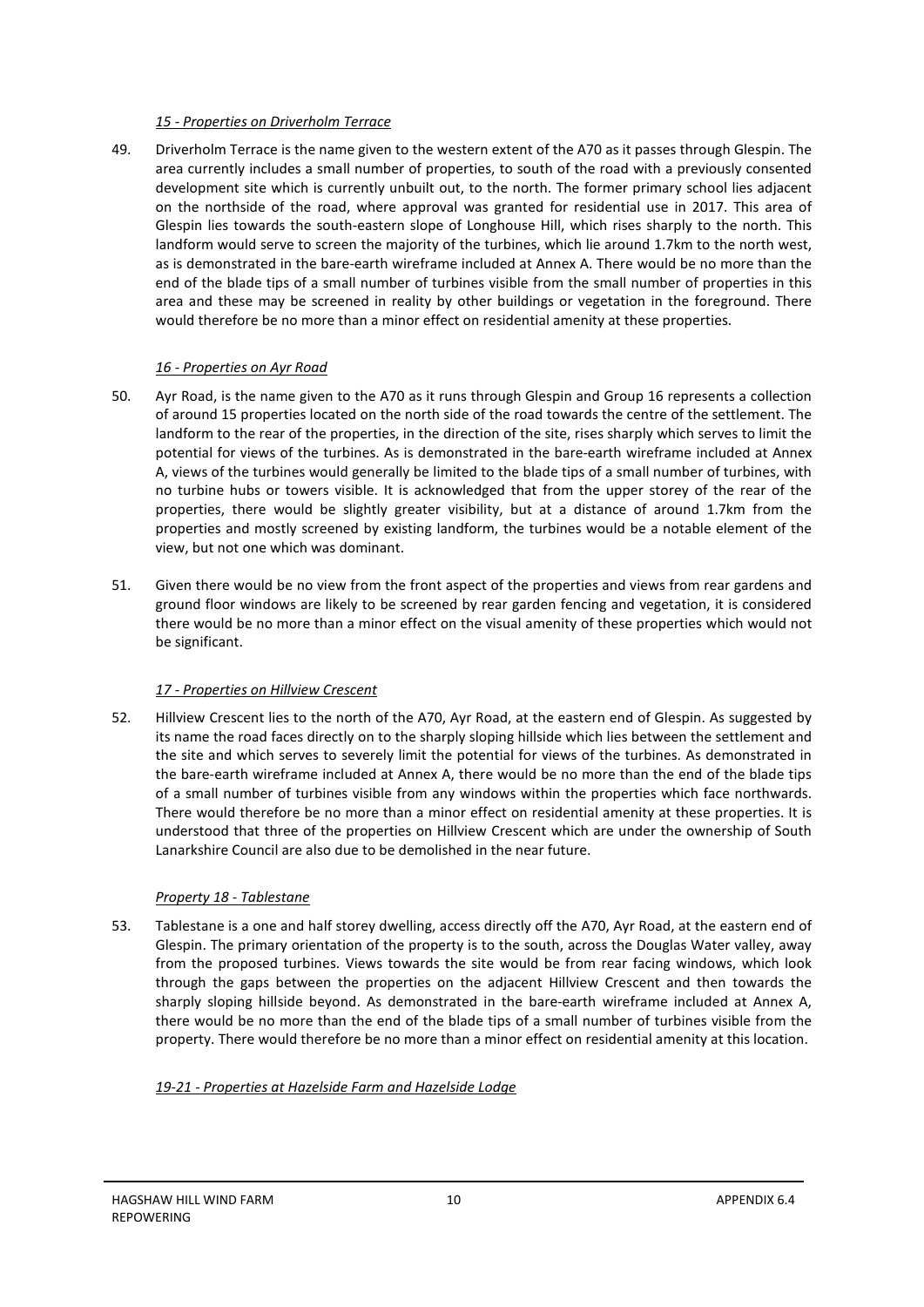#### *15 - Properties on Driverholm Terrace*

49. Driverholm Terrace is the name given to the western extent of the A70 as it passes through Glespin. The area currently includes a small number of properties, to south of the road with a previously consented development site which is currently unbuilt out, to the north. The former primary school lies adjacent on the northside of the road, where approval was granted for residential use in 2017. This area of Glespin lies towards the south-eastern slope of Longhouse Hill, which rises sharply to the north. This landform would serve to screen the majority of the turbines, which lie around 1.7km to the north west, as is demonstrated in the bare-earth wireframe included at Annex A. There would be no more than the end of the blade tips of a small number of turbines visible from the small number of properties in this area and these may be screened in reality by other buildings or vegetation in the foreground. There would therefore be no more than a minor effect on residential amenity at these properties.

### *16 - Properties on Ayr Road*

- 50. Ayr Road, is the name given to the A70 as it runs through Glespin and Group 16 represents a collection of around 15 properties located on the north side of the road towards the centre of the settlement. The landform to the rear of the properties, in the direction of the site, rises sharply which serves to limit the potential for views of the turbines. As is demonstrated in the bare-earth wireframe included at Annex A, views of the turbines would generally be limited to the blade tips of a small number of turbines, with no turbine hubs or towers visible. It is acknowledged that from the upper storey of the rear of the properties, there would be slightly greater visibility, but at a distance of around 1.7km from the properties and mostly screened by existing landform, the turbines would be a notable element of the view, but not one which was dominant.
- 51. Given there would be no view from the front aspect of the properties and views from rear gardens and ground floor windows are likely to be screened by rear garden fencing and vegetation, it is considered there would be no more than a minor effect on the visual amenity of these properties which would not be significant.

### *17 - Properties on Hillview Crescent*

52. Hillview Crescent lies to the north of the A70, Ayr Road, at the eastern end of Glespin. As suggested by its name the road faces directly on to the sharply sloping hillside which lies between the settlement and the site and which serves to severely limit the potential for views of the turbines. As demonstrated in the bare-earth wireframe included at Annex A, there would be no more than the end of the blade tips of a small number of turbines visible from any windows within the properties which face northwards. There would therefore be no more than a minor effect on residential amenity at these properties. It is understood that three of the properties on Hillview Crescent which are under the ownership of South Lanarkshire Council are also due to be demolished in the near future.

### *Property 18 - Tablestane*

53. Tablestane is a one and half storey dwelling, access directly off the A70, Ayr Road, at the eastern end of Glespin. The primary orientation of the property is to the south, across the Douglas Water valley, away from the proposed turbines. Views towards the site would be from rear facing windows, which look through the gaps between the properties on the adjacent Hillview Crescent and then towards the sharply sloping hillside beyond. As demonstrated in the bare-earth wireframe included at Annex A, there would be no more than the end of the blade tips of a small number of turbines visible from the property. There would therefore be no more than a minor effect on residential amenity at this location.

### *19-21 - Properties at Hazelside Farm and Hazelside Lodge*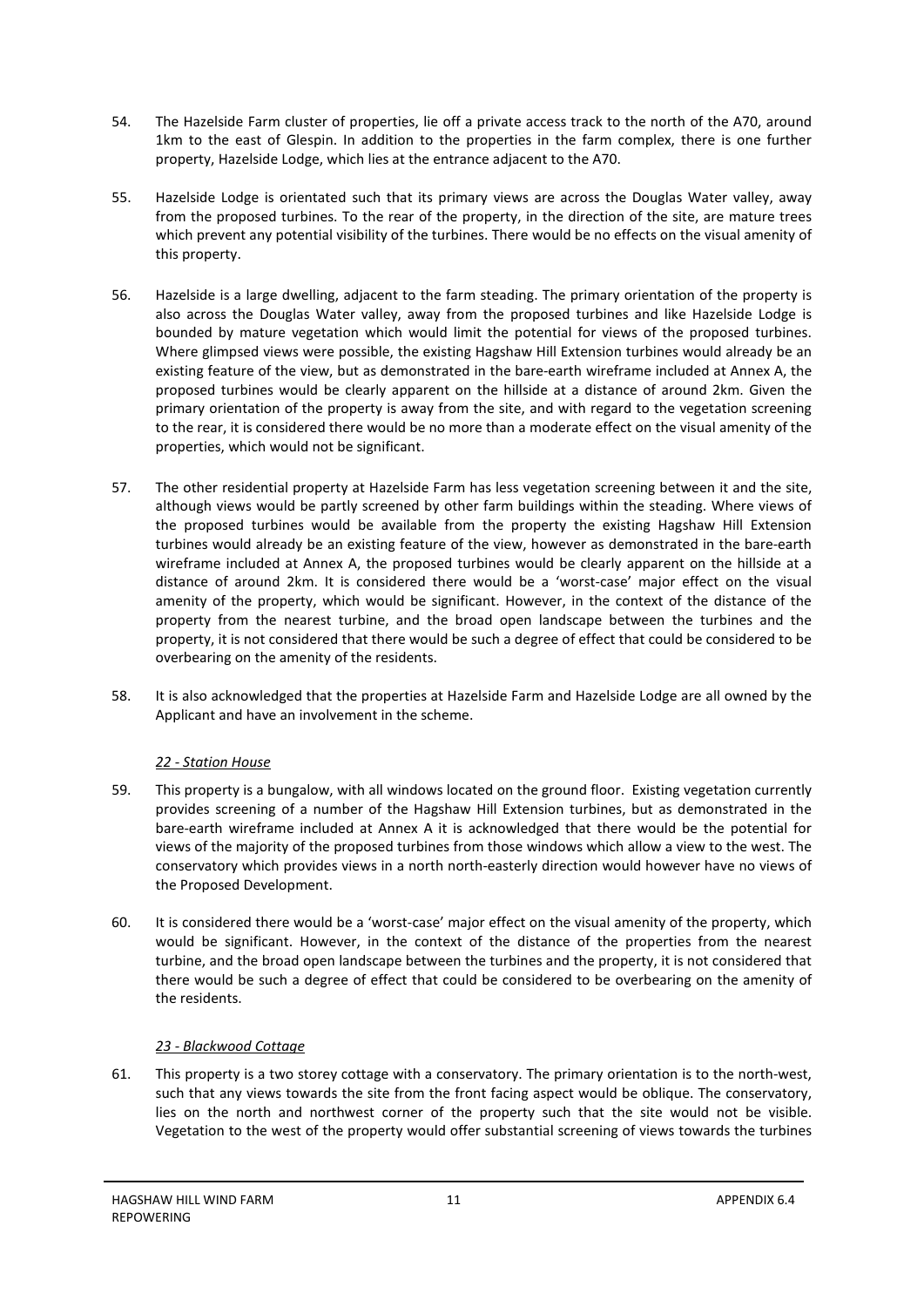- 54. The Hazelside Farm cluster of properties, lie off a private access track to the north of the A70, around 1km to the east of Glespin. In addition to the properties in the farm complex, there is one further property, Hazelside Lodge, which lies at the entrance adjacent to the A70.
- 55. Hazelside Lodge is orientated such that its primary views are across the Douglas Water valley, away from the proposed turbines. To the rear of the property, in the direction of the site, are mature trees which prevent any potential visibility of the turbines. There would be no effects on the visual amenity of this property.
- 56. Hazelside is a large dwelling, adjacent to the farm steading. The primary orientation of the property is also across the Douglas Water valley, away from the proposed turbines and like Hazelside Lodge is bounded by mature vegetation which would limit the potential for views of the proposed turbines. Where glimpsed views were possible, the existing Hagshaw Hill Extension turbines would already be an existing feature of the view, but as demonstrated in the bare-earth wireframe included at Annex A, the proposed turbines would be clearly apparent on the hillside at a distance of around 2km. Given the primary orientation of the property is away from the site, and with regard to the vegetation screening to the rear, it is considered there would be no more than a moderate effect on the visual amenity of the properties, which would not be significant.
- 57. The other residential property at Hazelside Farm has less vegetation screening between it and the site, although views would be partly screened by other farm buildings within the steading. Where views of the proposed turbines would be available from the property the existing Hagshaw Hill Extension turbines would already be an existing feature of the view, however as demonstrated in the bare-earth wireframe included at Annex A, the proposed turbines would be clearly apparent on the hillside at a distance of around 2km. It is considered there would be a 'worst-case' major effect on the visual amenity of the property, which would be significant. However, in the context of the distance of the property from the nearest turbine, and the broad open landscape between the turbines and the property, it is not considered that there would be such a degree of effect that could be considered to be overbearing on the amenity of the residents.
- 58. It is also acknowledged that the properties at Hazelside Farm and Hazelside Lodge are all owned by the Applicant and have an involvement in the scheme.

# *22 - Station House*

- 59. This property is a bungalow, with all windows located on the ground floor. Existing vegetation currently provides screening of a number of the Hagshaw Hill Extension turbines, but as demonstrated in the bare-earth wireframe included at Annex A it is acknowledged that there would be the potential for views of the majority of the proposed turbines from those windows which allow a view to the west. The conservatory which provides views in a north north-easterly direction would however have no views of the Proposed Development.
- 60. It is considered there would be a 'worst-case' major effect on the visual amenity of the property, which would be significant. However, in the context of the distance of the properties from the nearest turbine, and the broad open landscape between the turbines and the property, it is not considered that there would be such a degree of effect that could be considered to be overbearing on the amenity of the residents.

# *23 - Blackwood Cottage*

61. This property is a two storey cottage with a conservatory. The primary orientation is to the north-west, such that any views towards the site from the front facing aspect would be oblique. The conservatory, lies on the north and northwest corner of the property such that the site would not be visible. Vegetation to the west of the property would offer substantial screening of views towards the turbines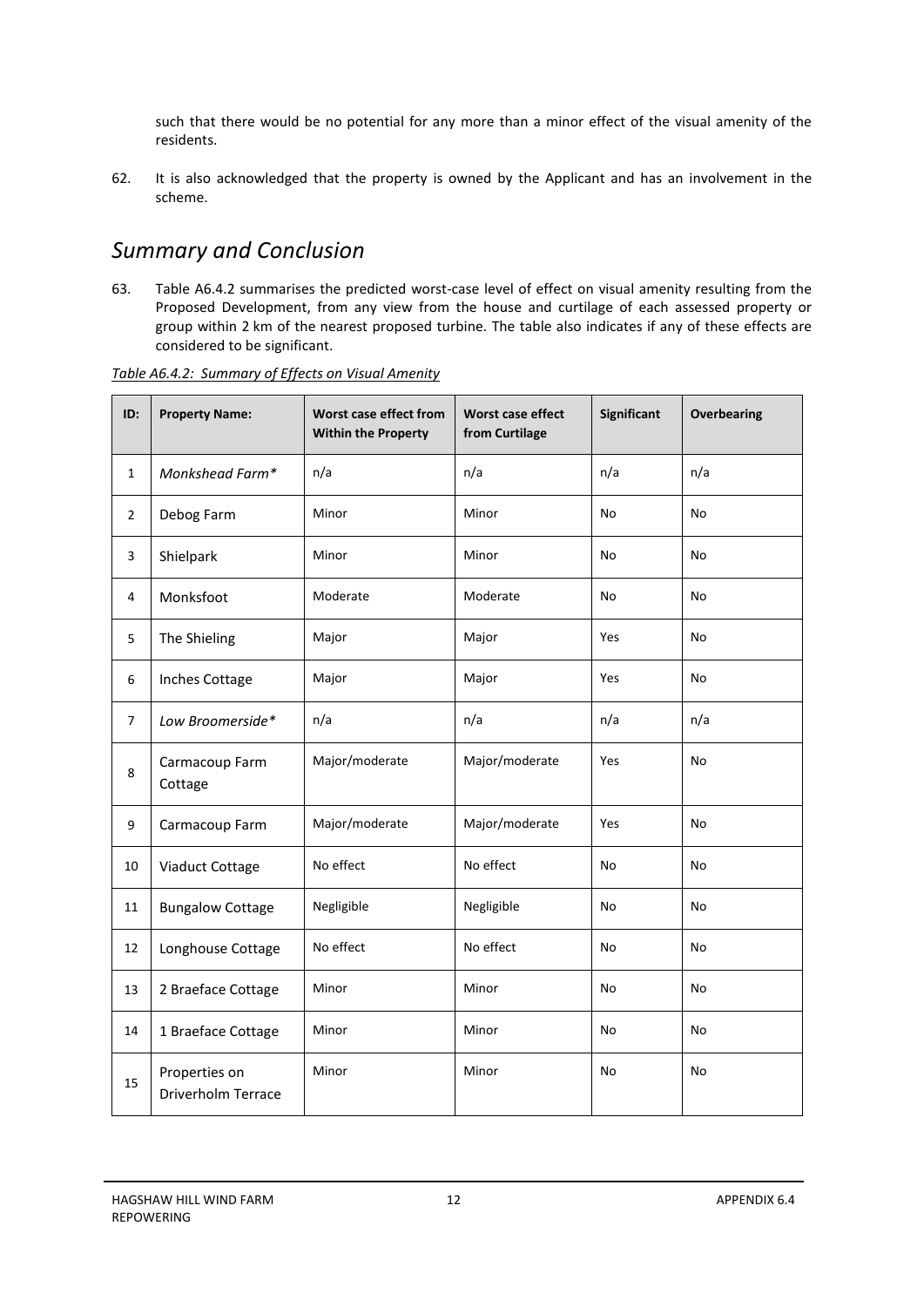such that there would be no potential for any more than a minor effect of the visual amenity of the residents.

62. It is also acknowledged that the property is owned by the Applicant and has an involvement in the scheme.

# *Summary and Conclusion*

63. Table A6.4.2 summarises the predicted worst-case level of effect on visual amenity resulting from the Proposed Development, from any view from the house and curtilage of each assessed property or group within 2 km of the nearest proposed turbine. The table also indicates if any of these effects are considered to be significant.

| ID:            | <b>Property Name:</b>               | Worst case effect from<br><b>Within the Property</b> | Worst case effect<br>from Curtilage | Significant | <b>Overbearing</b> |
|----------------|-------------------------------------|------------------------------------------------------|-------------------------------------|-------------|--------------------|
| $\mathbf{1}$   | Monkshead Farm*                     | n/a                                                  | n/a                                 | n/a         | n/a                |
| $\overline{2}$ | Debog Farm                          | Minor                                                | Minor                               | No          | <b>No</b>          |
| 3              | Shielpark                           | Minor                                                | Minor                               | No          | <b>No</b>          |
| 4              | Monksfoot                           | Moderate                                             | Moderate                            | No          | <b>No</b>          |
| 5              | The Shieling                        | Major                                                | Major                               | Yes         | <b>No</b>          |
| 6              | Inches Cottage                      | Major                                                | Major                               | Yes         | <b>No</b>          |
| $\overline{7}$ | Low Broomerside*                    | n/a                                                  | n/a                                 | n/a         | n/a                |
| 8              | Carmacoup Farm<br>Cottage           | Major/moderate                                       | Major/moderate                      | Yes         | No                 |
| 9              | Carmacoup Farm                      | Major/moderate                                       | Major/moderate                      | Yes         | <b>No</b>          |
| 10             | Viaduct Cottage                     | No effect                                            | No effect                           | <b>No</b>   | <b>No</b>          |
| 11             | <b>Bungalow Cottage</b>             | Negligible                                           | Negligible                          | No          | No                 |
| 12             | Longhouse Cottage                   | No effect                                            | No effect                           | No          | <b>No</b>          |
| 13             | 2 Braeface Cottage                  | Minor                                                | Minor                               | No          | <b>No</b>          |
| 14             | 1 Braeface Cottage                  | Minor                                                | Minor                               | No          | <b>No</b>          |
| 15             | Properties on<br>Driverholm Terrace | Minor                                                | Minor                               | <b>No</b>   | <b>No</b>          |

*Table A6.4.2: Summary of Effects on Visual Amenity*